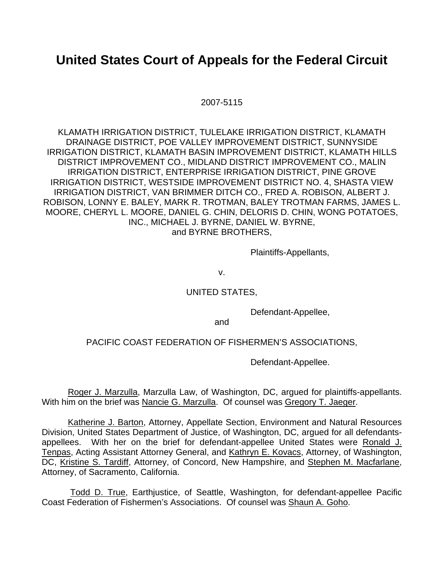# **United States Court of Appeals for the Federal Circuit**

## 2007-5115

KLAMATH IRRIGATION DISTRICT, TULELAKE IRRIGATION DISTRICT, KLAMATH DRAINAGE DISTRICT, POE VALLEY IMPROVEMENT DISTRICT, SUNNYSIDE IRRIGATION DISTRICT, KLAMATH BASIN IMPROVEMENT DISTRICT, KLAMATH HILLS DISTRICT IMPROVEMENT CO., MIDLAND DISTRICT IMPROVEMENT CO., MALIN IRRIGATION DISTRICT, ENTERPRISE IRRIGATION DISTRICT, PINE GROVE IRRIGATION DISTRICT, WESTSIDE IMPROVEMENT DISTRICT NO. 4, SHASTA VIEW IRRIGATION DISTRICT, VAN BRIMMER DITCH CO., FRED A. ROBISON, ALBERT J. ROBISON, LONNY E. BALEY, MARK R. TROTMAN, BALEY TROTMAN FARMS, JAMES L. MOORE, CHERYL L. MOORE, DANIEL G. CHIN, DELORIS D. CHIN, WONG POTATOES, INC., MICHAEL J. BYRNE, DANIEL W. BYRNE, and BYRNE BROTHERS,

Plaintiffs-Appellants,

v.

## UNITED STATES,

Defendant-Appellee,

and

## PACIFIC COAST FEDERATION OF FISHERMEN'S ASSOCIATIONS,

Defendant-Appellee.

Roger J. Marzulla, Marzulla Law, of Washington, DC, argued for plaintiffs-appellants. With him on the brief was Nancie G. Marzulla. Of counsel was Gregory T. Jaeger.

Katherine J. Barton, Attorney, Appellate Section, Environment and Natural Resources Division, United States Department of Justice, of Washington, DC, argued for all defendantsappellees. With her on the brief for defendant-appellee United States were Ronald J. Tenpas, Acting Assistant Attorney General, and Kathryn E. Kovacs, Attorney, of Washington, DC, Kristine S. Tardiff, Attorney, of Concord, New Hampshire, and Stephen M. Macfarlane, Attorney, of Sacramento, California.

Todd D. True, Earthjustice, of Seattle, Washington, for defendant-appellee Pacific Coast Federation of Fishermen's Associations. Of counsel was Shaun A. Goho.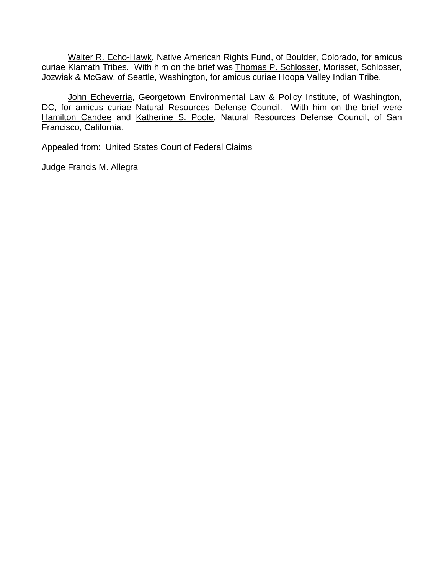Walter R. Echo-Hawk, Native American Rights Fund, of Boulder, Colorado, for amicus curiae Klamath Tribes. With him on the brief was Thomas P. Schlosser, Morisset, Schlosser, Jozwiak & McGaw, of Seattle, Washington, for amicus curiae Hoopa Valley Indian Tribe.

John Echeverria, Georgetown Environmental Law & Policy Institute, of Washington, DC, for amicus curiae Natural Resources Defense Council. With him on the brief were Hamilton Candee and Katherine S. Poole, Natural Resources Defense Council, of San Francisco, California.

Appealed from: United States Court of Federal Claims

Judge Francis M. Allegra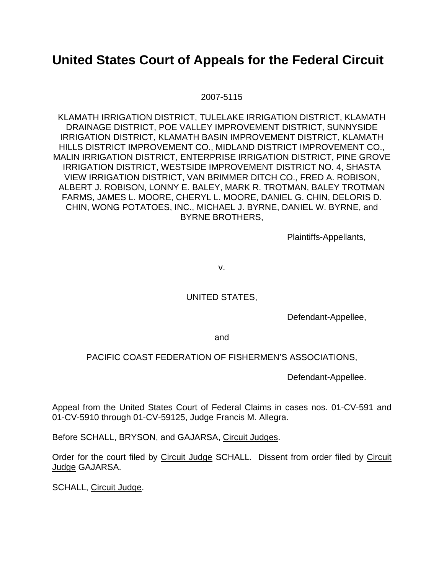# **United States Court of Appeals for the Federal Circuit**

## 2007-5115

KLAMATH IRRIGATION DISTRICT, TULELAKE IRRIGATION DISTRICT, KLAMATH DRAINAGE DISTRICT, POE VALLEY IMPROVEMENT DISTRICT, SUNNYSIDE IRRIGATION DISTRICT, KLAMATH BASIN IMPROVEMENT DISTRICT, KLAMATH HILLS DISTRICT IMPROVEMENT CO., MIDLAND DISTRICT IMPROVEMENT CO., MALIN IRRIGATION DISTRICT, ENTERPRISE IRRIGATION DISTRICT, PINE GROVE IRRIGATION DISTRICT, WESTSIDE IMPROVEMENT DISTRICT NO. 4, SHASTA VIEW IRRIGATION DISTRICT, VAN BRIMMER DITCH CO., FRED A. ROBISON, ALBERT J. ROBISON, LONNY E. BALEY, MARK R. TROTMAN, BALEY TROTMAN FARMS, JAMES L. MOORE, CHERYL L. MOORE, DANIEL G. CHIN, DELORIS D. CHIN, WONG POTATOES, INC., MICHAEL J. BYRNE, DANIEL W. BYRNE, and BYRNE BROTHERS,

Plaintiffs-Appellants,

v.

## UNITED STATES,

Defendant-Appellee,

and

## PACIFIC COAST FEDERATION OF FISHERMEN'S ASSOCIATIONS,

Defendant-Appellee.

Appeal from the United States Court of Federal Claims in cases nos. 01-CV-591 and 01-CV-5910 through 01-CV-59125, Judge Francis M. Allegra.

Before SCHALL, BRYSON, and GAJARSA, Circuit Judges.

Order for the court filed by Circuit Judge SCHALL. Dissent from order filed by Circuit Judge GAJARSA.

SCHALL, Circuit Judge.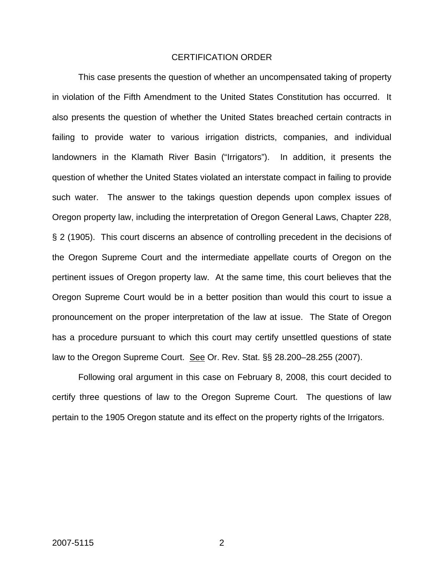#### CERTIFICATION ORDER

This case presents the question of whether an uncompensated taking of property in violation of the Fifth Amendment to the United States Constitution has occurred. It also presents the question of whether the United States breached certain contracts in failing to provide water to various irrigation districts, companies, and individual landowners in the Klamath River Basin ("Irrigators"). In addition, it presents the question of whether the United States violated an interstate compact in failing to provide such water. The answer to the takings question depends upon complex issues of Oregon property law, including the interpretation of Oregon General Laws, Chapter 228, § 2 (1905). This court discerns an absence of controlling precedent in the decisions of the Oregon Supreme Court and the intermediate appellate courts of Oregon on the pertinent issues of Oregon property law. At the same time, this court believes that the Oregon Supreme Court would be in a better position than would this court to issue a pronouncement on the proper interpretation of the law at issue. The State of Oregon has a procedure pursuant to which this court may certify unsettled questions of state law to the Oregon Supreme Court. See Or. Rev. Stat. §§ 28.200–28.255 (2007).

Following oral argument in this case on February 8, 2008, this court decided to certify three questions of law to the Oregon Supreme Court. The questions of law pertain to the 1905 Oregon statute and its effect on the property rights of the Irrigators.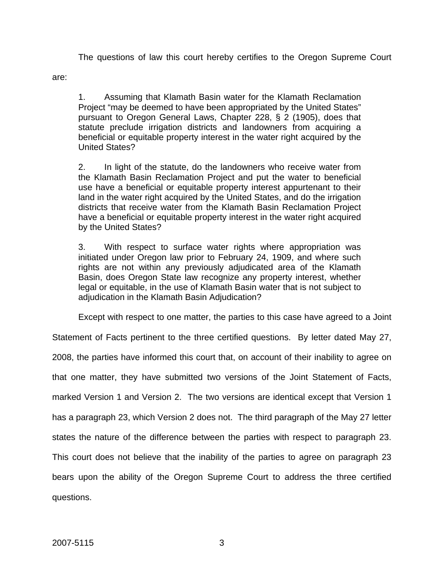The questions of law this court hereby certifies to the Oregon Supreme Court

are:

1. Assuming that Klamath Basin water for the Klamath Reclamation Project "may be deemed to have been appropriated by the United States" pursuant to Oregon General Laws, Chapter 228, § 2 (1905), does that statute preclude irrigation districts and landowners from acquiring a beneficial or equitable property interest in the water right acquired by the United States?

2. In light of the statute, do the landowners who receive water from the Klamath Basin Reclamation Project and put the water to beneficial use have a beneficial or equitable property interest appurtenant to their land in the water right acquired by the United States, and do the irrigation districts that receive water from the Klamath Basin Reclamation Project have a beneficial or equitable property interest in the water right acquired by the United States?

3. With respect to surface water rights where appropriation was initiated under Oregon law prior to February 24, 1909, and where such rights are not within any previously adjudicated area of the Klamath Basin, does Oregon State law recognize any property interest, whether legal or equitable, in the use of Klamath Basin water that is not subject to adjudication in the Klamath Basin Adjudication?

Except with respect to one matter, the parties to this case have agreed to a Joint

Statement of Facts pertinent to the three certified questions. By letter dated May 27, 2008, the parties have informed this court that, on account of their inability to agree on that one matter, they have submitted two versions of the Joint Statement of Facts, marked Version 1 and Version 2. The two versions are identical except that Version 1 has a paragraph 23, which Version 2 does not. The third paragraph of the May 27 letter states the nature of the difference between the parties with respect to paragraph 23. This court does not believe that the inability of the parties to agree on paragraph 23 bears upon the ability of the Oregon Supreme Court to address the three certified questions.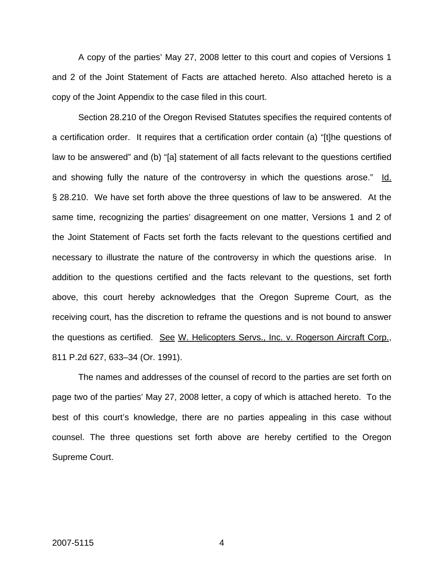A copy of the parties' May 27, 2008 letter to this court and copies of Versions 1 and 2 of the Joint Statement of Facts are attached hereto. Also attached hereto is a copy of the Joint Appendix to the case filed in this court.

Section 28.210 of the Oregon Revised Statutes specifies the required contents of a certification order. It requires that a certification order contain (a) "[t]he questions of law to be answered" and (b) "[a] statement of all facts relevant to the questions certified and showing fully the nature of the controversy in which the questions arose." Id. § 28.210. We have set forth above the three questions of law to be answered. At the same time, recognizing the parties' disagreement on one matter, Versions 1 and 2 of the Joint Statement of Facts set forth the facts relevant to the questions certified and necessary to illustrate the nature of the controversy in which the questions arise. In addition to the questions certified and the facts relevant to the questions, set forth above, this court hereby acknowledges that the Oregon Supreme Court, as the receiving court, has the discretion to reframe the questions and is not bound to answer the questions as certified. See W. Helicopters Servs., Inc. v. Rogerson Aircraft Corp., 811 P.2d 627, 633–34 (Or. 1991).

The names and addresses of the counsel of record to the parties are set forth on page two of the parties' May 27, 2008 letter, a copy of which is attached hereto. To the best of this court's knowledge, there are no parties appealing in this case without counsel. The three questions set forth above are hereby certified to the Oregon Supreme Court.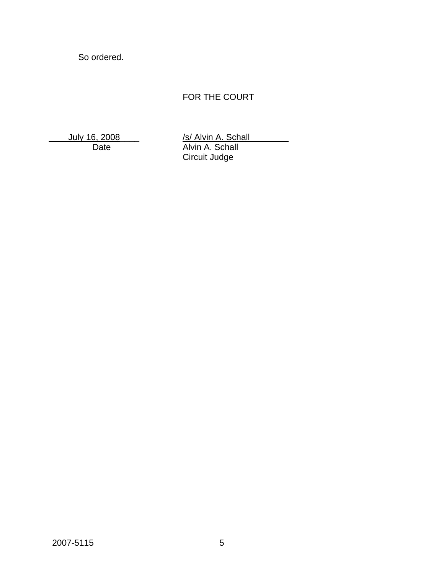So ordered.

## FOR THE COURT

Date **Alvin A. Schall** 

\_\_\_\_July 16, 2008\_\_\_\_ /s/ Alvin A. Schall\_\_\_\_\_\_\_\_ Circuit Judge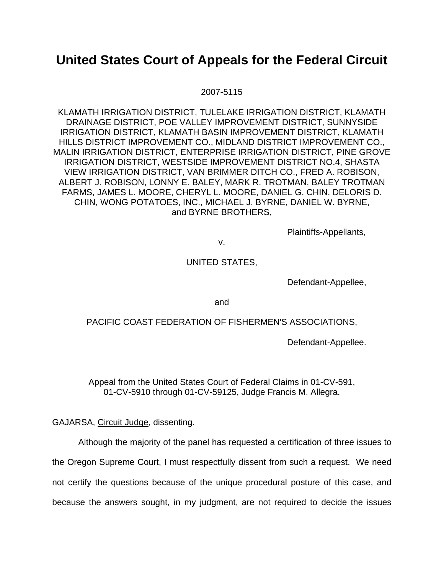# **United States Court of Appeals for the Federal Circuit**

#### 2007-5115

KLAMATH IRRIGATION DISTRICT, TULELAKE IRRIGATION DISTRICT, KLAMATH DRAINAGE DISTRICT, POE VALLEY IMPROVEMENT DISTRICT, SUNNYSIDE IRRIGATION DISTRICT, KLAMATH BASIN IMPROVEMENT DISTRICT, KLAMATH HILLS DISTRICT IMPROVEMENT CO., MIDLAND DISTRICT IMPROVEMENT CO., MALIN IRRIGATION DISTRICT, ENTERPRISE IRRIGATION DISTRICT, PINE GROVE IRRIGATION DISTRICT, WESTSIDE IMPROVEMENT DISTRICT NO.4, SHASTA VIEW IRRIGATION DISTRICT, VAN BRIMMER DITCH CO., FRED A. ROBISON, ALBERT J. ROBISON, LONNY E. BALEY, MARK R. TROTMAN, BALEY TROTMAN FARMS, JAMES L. MOORE, CHERYL L. MOORE, DANIEL G. CHIN, DELORIS D. CHIN, WONG POTATOES, INC., MICHAEL J. BYRNE, DANIEL W. BYRNE, and BYRNE BROTHERS,

Plaintiffs-Appellants,

v.

## UNITED STATES,

Defendant-Appellee,

and

#### PACIFIC COAST FEDERATION OF FISHERMEN'S ASSOCIATIONS,

Defendant-Appellee.

Appeal from the United States Court of Federal Claims in 01-CV-591, 01-CV-5910 through 01-CV-59125, Judge Francis M. Allegra.

#### GAJARSA, Circuit Judge, dissenting.

 Although the majority of the panel has requested a certification of three issues to the Oregon Supreme Court, I must respectfully dissent from such a request. We need not certify the questions because of the unique procedural posture of this case, and because the answers sought, in my judgment, are not required to decide the issues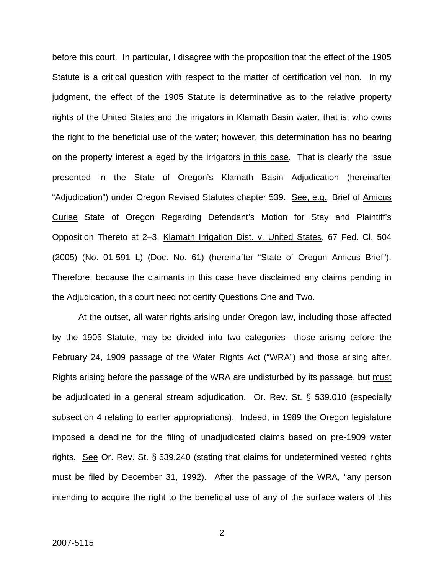before this court. In particular, I disagree with the proposition that the effect of the 1905 Statute is a critical question with respect to the matter of certification vel non. In my judgment, the effect of the 1905 Statute is determinative as to the relative property rights of the United States and the irrigators in Klamath Basin water, that is, who owns the right to the beneficial use of the water; however, this determination has no bearing on the property interest alleged by the irrigators in this case. That is clearly the issue presented in the State of Oregon's Klamath Basin Adjudication (hereinafter "Adjudication") under Oregon Revised Statutes chapter 539. See, e.g., Brief of Amicus Curiae State of Oregon Regarding Defendant's Motion for Stay and Plaintiff's Opposition Thereto at 2–3, Klamath Irrigation Dist. v. United States, 67 Fed. Cl. 504 (2005) (No. 01-591 L) (Doc. No. 61) (hereinafter "State of Oregon Amicus Brief"). Therefore, because the claimants in this case have disclaimed any claims pending in the Adjudication, this court need not certify Questions One and Two.

At the outset, all water rights arising under Oregon law, including those affected by the 1905 Statute, may be divided into two categories—those arising before the February 24, 1909 passage of the Water Rights Act ("WRA") and those arising after. Rights arising before the passage of the WRA are undisturbed by its passage, but must be adjudicated in a general stream adjudication. Or. Rev. St. § 539.010 (especially subsection 4 relating to earlier appropriations). Indeed, in 1989 the Oregon legislature imposed a deadline for the filing of unadjudicated claims based on pre-1909 water rights. See Or. Rev. St. § 539.240 (stating that claims for undetermined vested rights must be filed by December 31, 1992). After the passage of the WRA, "any person intending to acquire the right to the beneficial use of any of the surface waters of this

2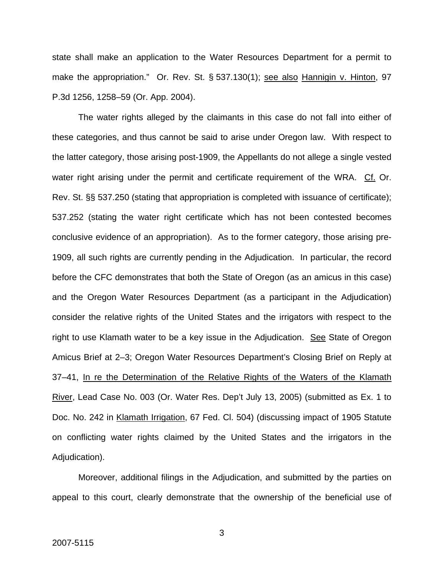state shall make an application to the Water Resources Department for a permit to make the appropriation." Or. Rev. St. § 537.130(1); see also Hannigin v. Hinton, 97 P.3d 1256, 1258–59 (Or. App. 2004).

The water rights alleged by the claimants in this case do not fall into either of these categories, and thus cannot be said to arise under Oregon law. With respect to the latter category, those arising post-1909, the Appellants do not allege a single vested water right arising under the permit and certificate requirement of the WRA. Cf. Or. Rev. St. §§ 537.250 (stating that appropriation is completed with issuance of certificate); 537.252 (stating the water right certificate which has not been contested becomes conclusive evidence of an appropriation). As to the former category, those arising pre-1909, all such rights are currently pending in the Adjudication. In particular, the record before the CFC demonstrates that both the State of Oregon (as an amicus in this case) and the Oregon Water Resources Department (as a participant in the Adjudication) consider the relative rights of the United States and the irrigators with respect to the right to use Klamath water to be a key issue in the Adjudication. See State of Oregon Amicus Brief at 2–3; Oregon Water Resources Department's Closing Brief on Reply at 37–41, In re the Determination of the Relative Rights of the Waters of the Klamath River, Lead Case No. 003 (Or. Water Res. Dep't July 13, 2005) (submitted as Ex. 1 to Doc. No. 242 in Klamath Irrigation, 67 Fed. Cl. 504) (discussing impact of 1905 Statute on conflicting water rights claimed by the United States and the irrigators in the Adjudication).

Moreover, additional filings in the Adjudication, and submitted by the parties on appeal to this court, clearly demonstrate that the ownership of the beneficial use of

3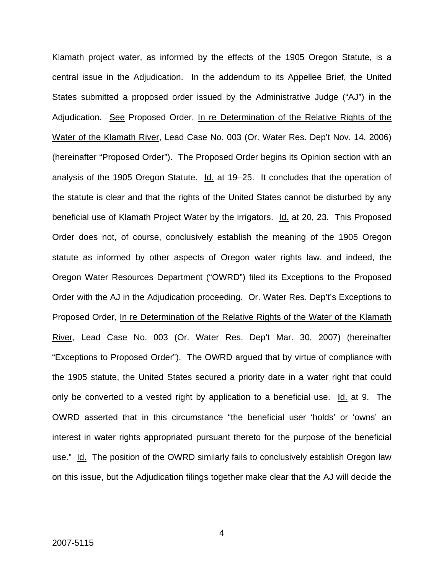Klamath project water, as informed by the effects of the 1905 Oregon Statute, is a central issue in the Adjudication. In the addendum to its Appellee Brief, the United States submitted a proposed order issued by the Administrative Judge ("AJ") in the Adjudication. See Proposed Order, In re Determination of the Relative Rights of the Water of the Klamath River, Lead Case No. 003 (Or. Water Res. Dep't Nov. 14, 2006) (hereinafter "Proposed Order"). The Proposed Order begins its Opinion section with an analysis of the 1905 Oregon Statute. Id. at 19–25. It concludes that the operation of the statute is clear and that the rights of the United States cannot be disturbed by any beneficial use of Klamath Project Water by the irrigators. Id. at 20, 23. This Proposed Order does not, of course, conclusively establish the meaning of the 1905 Oregon statute as informed by other aspects of Oregon water rights law, and indeed, the Oregon Water Resources Department ("OWRD") filed its Exceptions to the Proposed Order with the AJ in the Adjudication proceeding. Or. Water Res. Dep't's Exceptions to Proposed Order, In re Determination of the Relative Rights of the Water of the Klamath River, Lead Case No. 003 (Or. Water Res. Dep't Mar. 30, 2007) (hereinafter "Exceptions to Proposed Order"). The OWRD argued that by virtue of compliance with the 1905 statute, the United States secured a priority date in a water right that could only be converted to a vested right by application to a beneficial use. Id. at 9. The OWRD asserted that in this circumstance "the beneficial user 'holds' or 'owns' an interest in water rights appropriated pursuant thereto for the purpose of the beneficial use." Id. The position of the OWRD similarly fails to conclusively establish Oregon law on this issue, but the Adjudication filings together make clear that the AJ will decide the

4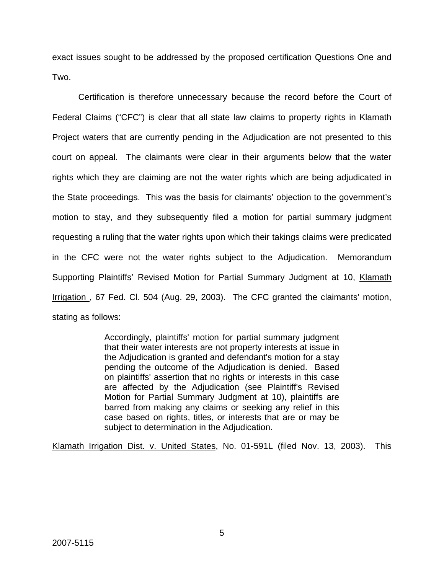exact issues sought to be addressed by the proposed certification Questions One and Two.

Certification is therefore unnecessary because the record before the Court of Federal Claims ("CFC") is clear that all state law claims to property rights in Klamath Project waters that are currently pending in the Adjudication are not presented to this court on appeal. The claimants were clear in their arguments below that the water rights which they are claiming are not the water rights which are being adjudicated in the State proceedings. This was the basis for claimants' objection to the government's motion to stay, and they subsequently filed a motion for partial summary judgment requesting a ruling that the water rights upon which their takings claims were predicated in the CFC were not the water rights subject to the Adjudication. Memorandum Supporting Plaintiffs' Revised Motion for Partial Summary Judgment at 10, Klamath Irrigation , 67 Fed. Cl. 504 (Aug. 29, 2003). The CFC granted the claimants' motion, stating as follows:

> Accordingly, plaintiffs' motion for partial summary judgment that their water interests are not property interests at issue in the Adjudication is granted and defendant's motion for a stay pending the outcome of the Adjudication is denied. Based on plaintiffs' assertion that no rights or interests in this case are affected by the Adjudication (see Plaintiff's Revised Motion for Partial Summary Judgment at 10), plaintiffs are barred from making any claims or seeking any relief in this case based on rights, titles, or interests that are or may be subject to determination in the Adjudication.

Klamath Irrigation Dist. v. United States, No. 01-591L (filed Nov. 13, 2003). This